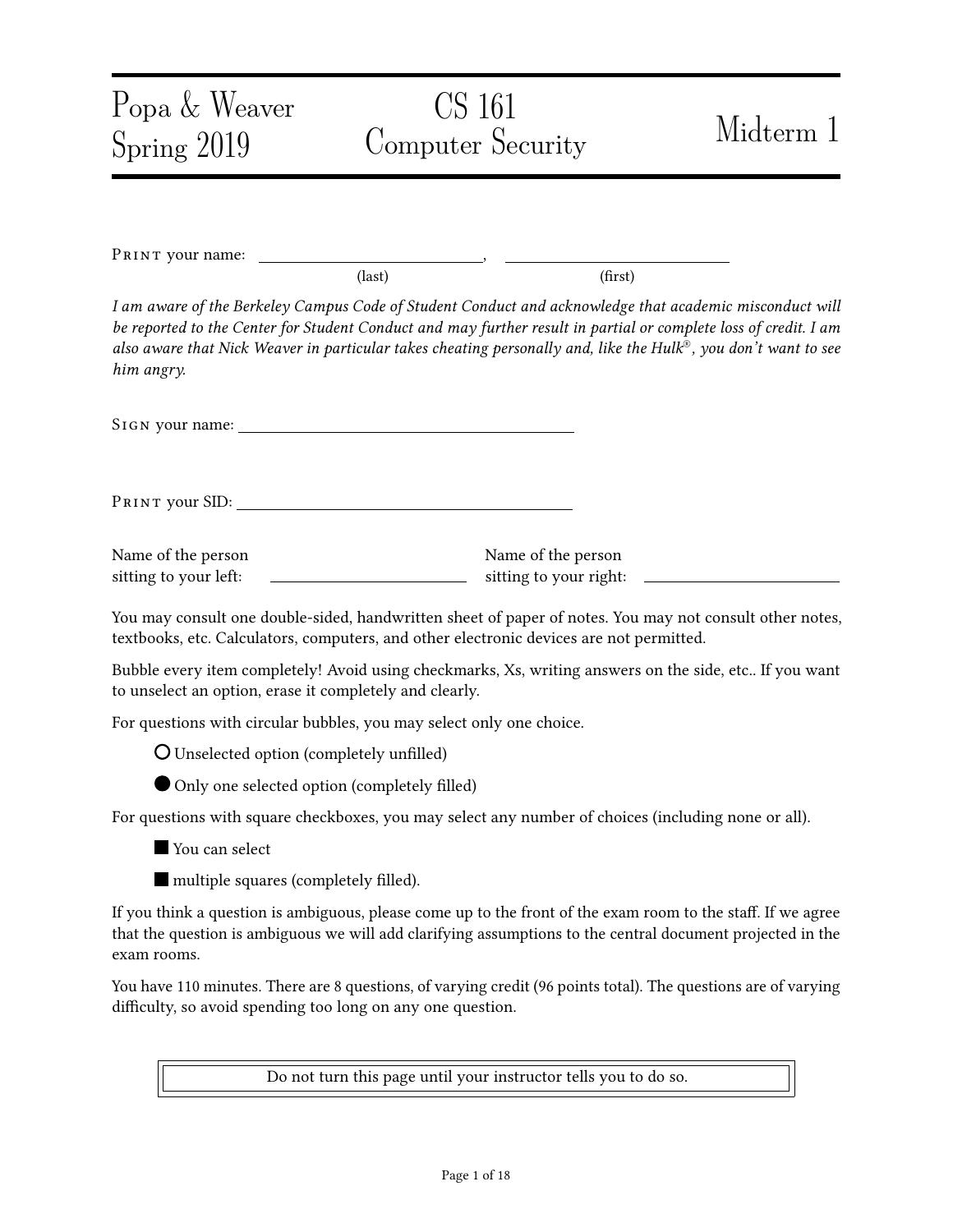| Popa & Weaver<br>Spring 2019                                | CS 161<br>Computer Security                                                                                                                                                                                                                                                                                                                   | Midterm 1 |
|-------------------------------------------------------------|-----------------------------------------------------------------------------------------------------------------------------------------------------------------------------------------------------------------------------------------------------------------------------------------------------------------------------------------------|-----------|
|                                                             |                                                                                                                                                                                                                                                                                                                                               |           |
| PRINT your name:                                            | $\text{(last)}$<br>(first)                                                                                                                                                                                                                                                                                                                    |           |
| him angry.                                                  | I am aware of the Berkeley Campus Code of Student Conduct and acknowledge that academic misconduct will<br>be reported to the Center for Student Conduct and may further result in partial or complete loss of credit. I am<br>also aware that Nick Weaver in particular takes cheating personally and, like the Hulk®, you don't want to see |           |
|                                                             |                                                                                                                                                                                                                                                                                                                                               |           |
|                                                             |                                                                                                                                                                                                                                                                                                                                               |           |
| Name of the person<br>sitting to your left:                 | Name of the person<br>sitting to your right:                                                                                                                                                                                                                                                                                                  |           |
|                                                             | You may consult one double-sided, handwritten sheet of paper of notes. You may not consult other notes,<br>textbooks, etc. Calculators, computers, and other electronic devices are not permitted.                                                                                                                                            |           |
| to unselect an option, erase it completely and clearly.     | Bubble every item completely! Avoid using checkmarks, Xs, writing answers on the side, etc If you want                                                                                                                                                                                                                                        |           |
|                                                             | For questions with circular bubbles, you may select only one choice.                                                                                                                                                                                                                                                                          |           |
| <b>O</b> Unselected option (completely unfilled)            |                                                                                                                                                                                                                                                                                                                                               |           |
| Only one selected option (completely filled)                |                                                                                                                                                                                                                                                                                                                                               |           |
|                                                             | For questions with square checkboxes, you may select any number of choices (including none or all).                                                                                                                                                                                                                                           |           |
| You can select                                              |                                                                                                                                                                                                                                                                                                                                               |           |
| multiple squares (completely filled).                       |                                                                                                                                                                                                                                                                                                                                               |           |
| exam rooms.                                                 | If you think a question is ambiguous, please come up to the front of the exam room to the staff. If we agree<br>that the question is ambiguous we will add clarifying assumptions to the central document projected in the                                                                                                                    |           |
| difficulty, so avoid spending too long on any one question. | You have 110 minutes. There are 8 questions, of varying credit (96 points total). The questions are of varying                                                                                                                                                                                                                                |           |

Do not turn this page until your instructor tells you to do so.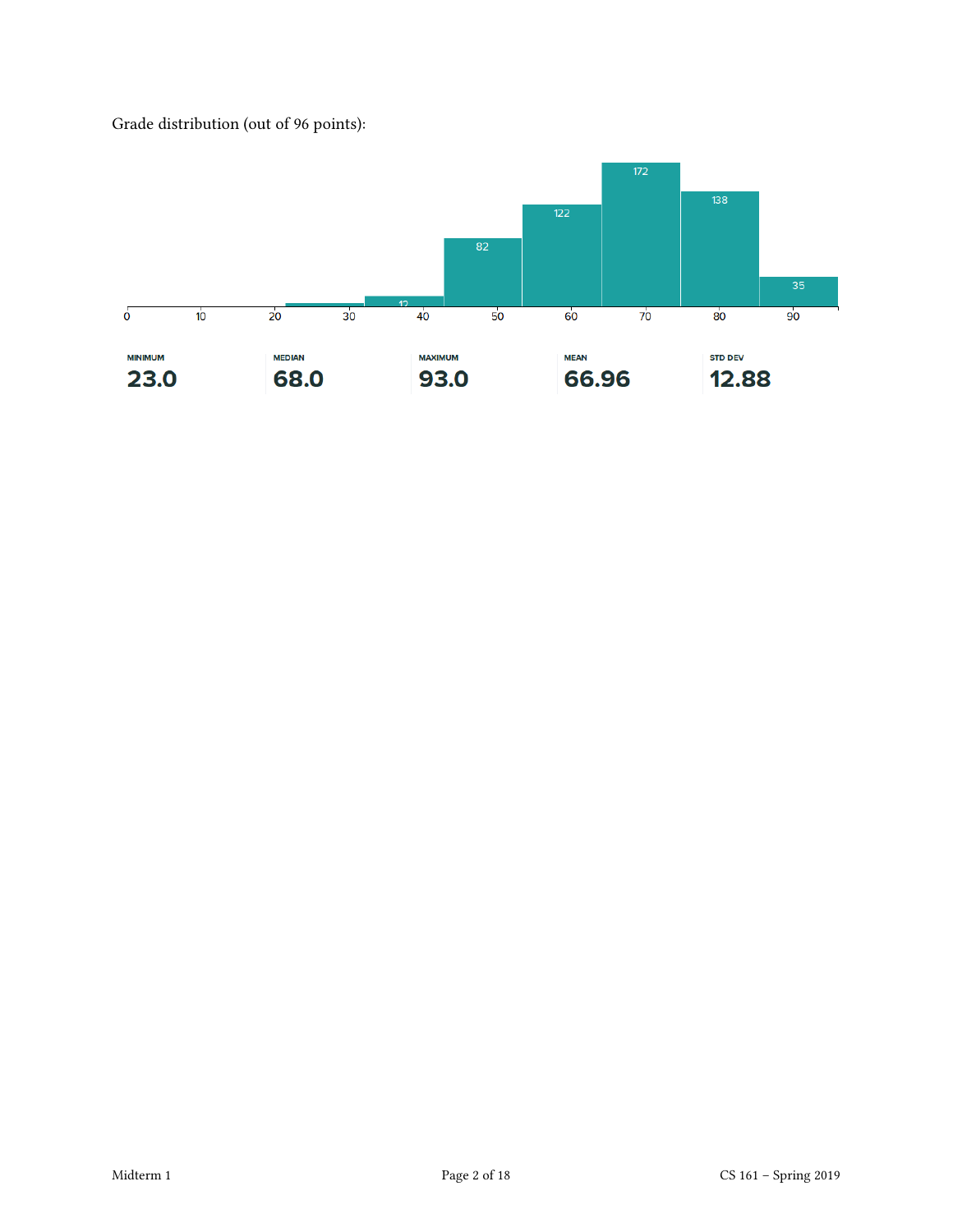Grade distribution (out of 96 points):

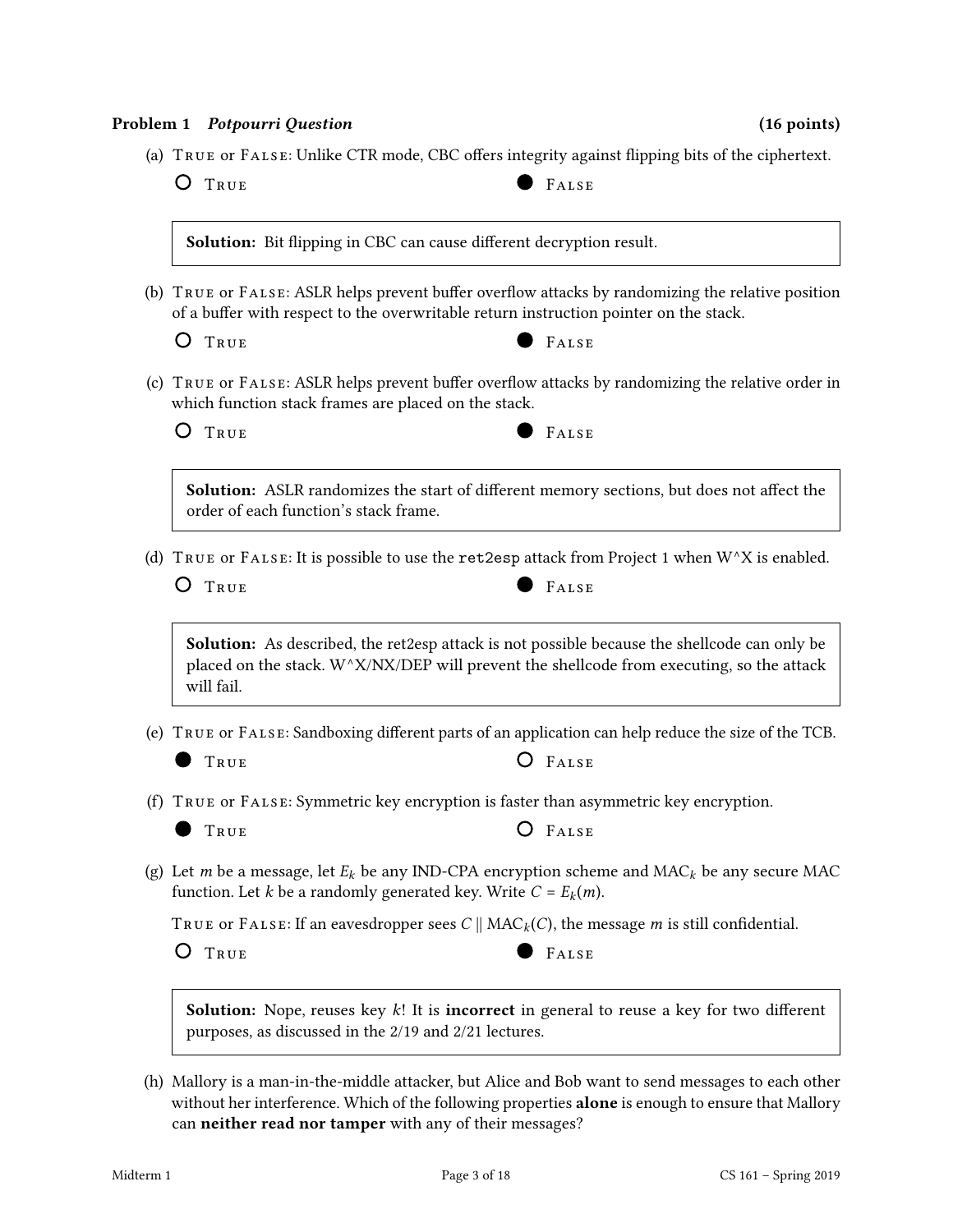#### Problem 1 Potpourri Question (16 points) (16 points)

(a) TRUE OF FALSE: Unlike CTR mode, CBC offers integrity against flipping bits of the ciphertext.

O TRUE PALSE

Solution: Bit flipping in CBC can cause different decryption result.

(b) TRUE OF FALSE: ASLR helps prevent buffer overflow attacks by randomizing the relative position of a buffer with respect to the overwritable return instruction pointer on the stack.

O TRUE PALSE

- 
- (c)  $T_{\text{RUE}}$  or  $F_{\text{ALSE}}$ : ASLR helps prevent buffer overflow attacks by randomizing the relative order in which function stack frames are placed on the stack.

O TRUE PALSE



Solution: ASLR randomizes the start of different memory sections, but does not affect the order of each function's stack frame.

(d) TRUE or FALSE: It is possible to use the ret2esp attack from Project 1 when  $W^{\wedge}X$  is enabled.

O TRUE **FALSE** 

Solution: As described, the ret2esp attack is not possible because the shellcode can only be placed on the stack.  $W^{\wedge}X/NX/DEP$  will prevent the shellcode from executing, so the attack will fail.

(e)  $T_{\text{RUE}}$  or  $F_{\text{ALSE}}$ : Sandboxing different parts of an application can help reduce the size of the TCB.

 $\bullet$  True

- (f) True or False: Symmetric key encryption is faster than asymmetric key encryption.
	- TRUE **O** FALSE

(g) Let *m* be a message, let  $E_k$  be any IND-CPA encryption scheme and MAC<sub>k</sub> be any secure MAC function. Let *k* be a randomly generated key. Write  $C = E_k(m)$ .

TRUE OF FALSE: If an eavesdropper sees  $C \parallel MAC_k(C)$ , the message *m* is still confidential.

O TRUE PALSE

**Solution:** Nope, reuses key  $k!$ ! It is **incorrect** in general to reuse a key for two different purposes, as discussed in the 2/19 and 2/21 lectures.

(h) Mallory is a man-in-the-middle attacker, but Alice and Bob want to send messages to each other without her interference. Which of the following properties alone is enough to ensure that Mallory can neither read nor tamper with any of their messages?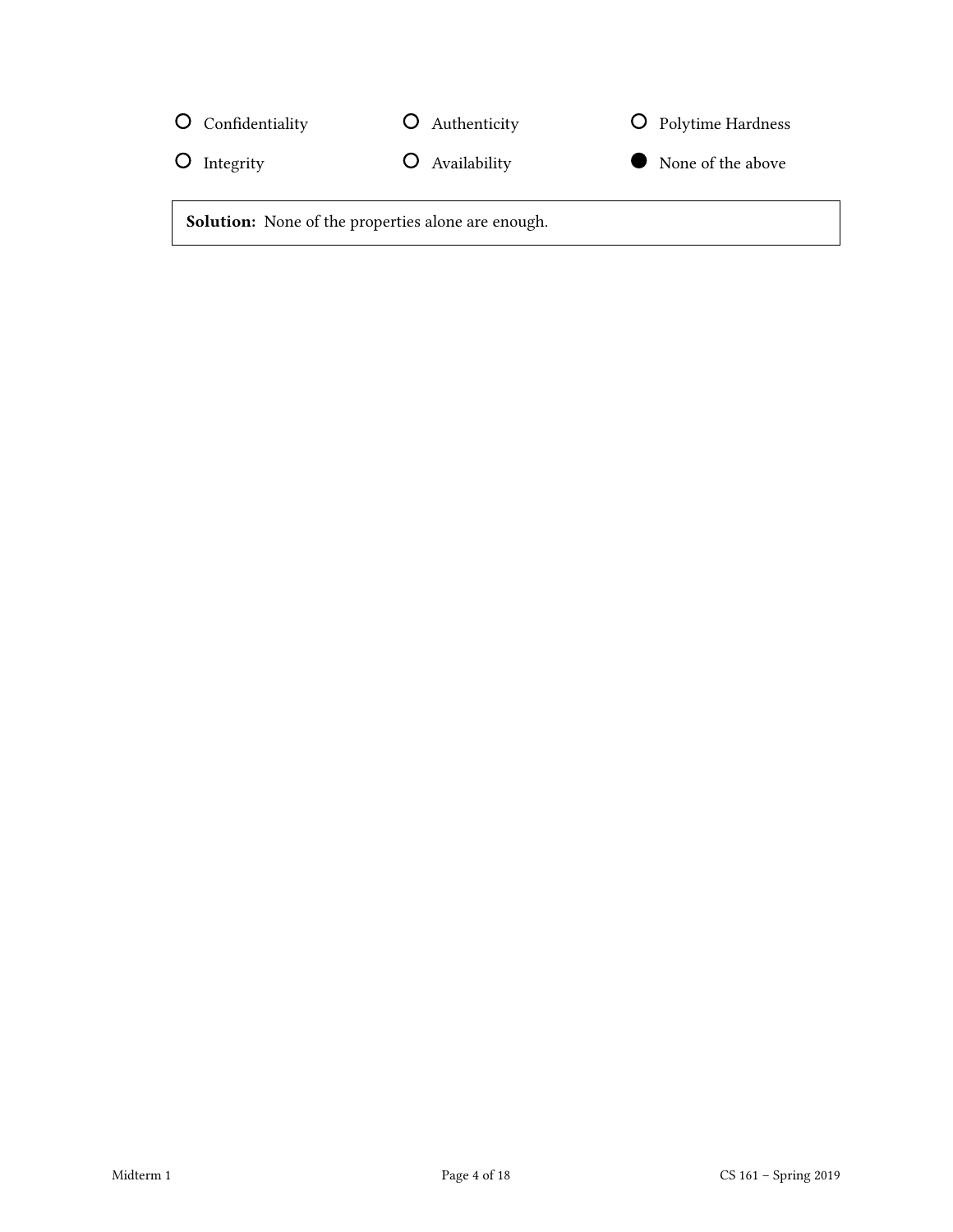| O Confidentiality        | O Authenticity                                            | O Polytime Hardness |
|--------------------------|-----------------------------------------------------------|---------------------|
| $\overline{O}$ Integrity | O Availability                                            | None of the above   |
|                          | <b>Solution:</b> None of the properties alone are enough. |                     |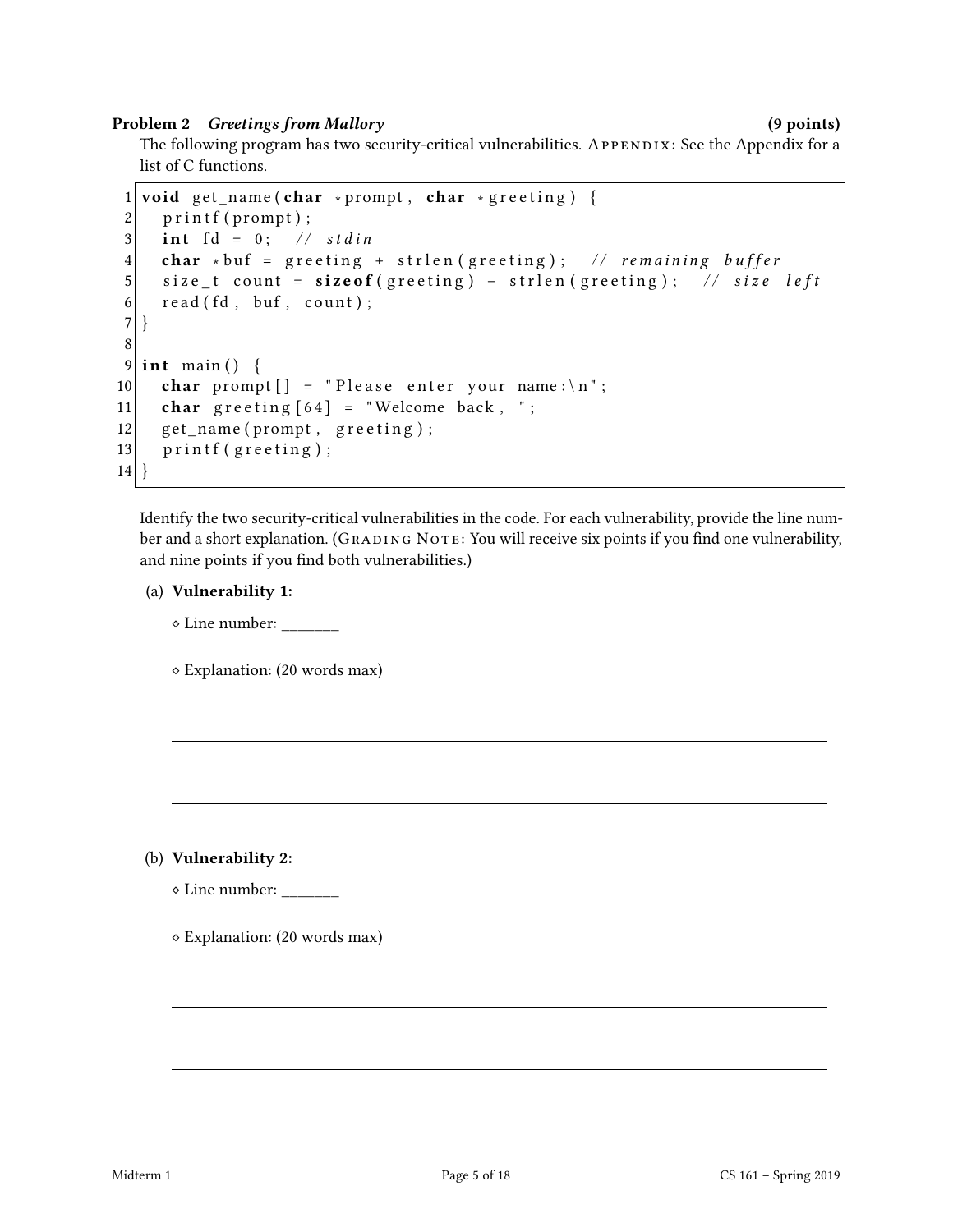#### Problem 2 Greetings from Mallory (9 points) (9 points)

The following program has two security-critical vulnerabilities. APPENDIX: See the Appendix for a list of C functions.

```
1 void get_name (char * prompt, char * greeting) {
2 printf (prompt);
3 int fd = 0; // stdin
4 char ∗ buf = greeting + strlen (greeting); // remaining buffer
5 size_t count = sizeof (greeting) - strlen (greeting); // size left
6 read (fd, buf, count);
\sqrt{ }8
9 int main () {
10 char prompt \begin{bmatrix} \end{bmatrix} = "Please enter your name: \n";
11 char g r e e ting [64] = "Welcome back, ";
12 get_name (prompt, greeting);
13 printf (greeting);
14 }
```
Identify the two security-critical vulnerabilities in the code. For each vulnerability, provide the line number and a short explanation. (GRADING NOTE: You will receive six points if you find one vulnerability, and nine points if you find both vulnerabilities.)

## (a) Vulnerability 1:

⋄ Line number: \_\_\_\_\_\_\_

⋄ Explanation: (20 words max)

(b) Vulnerability 2:

 $\diamond$  Line number:

⋄ Explanation: (20 words max)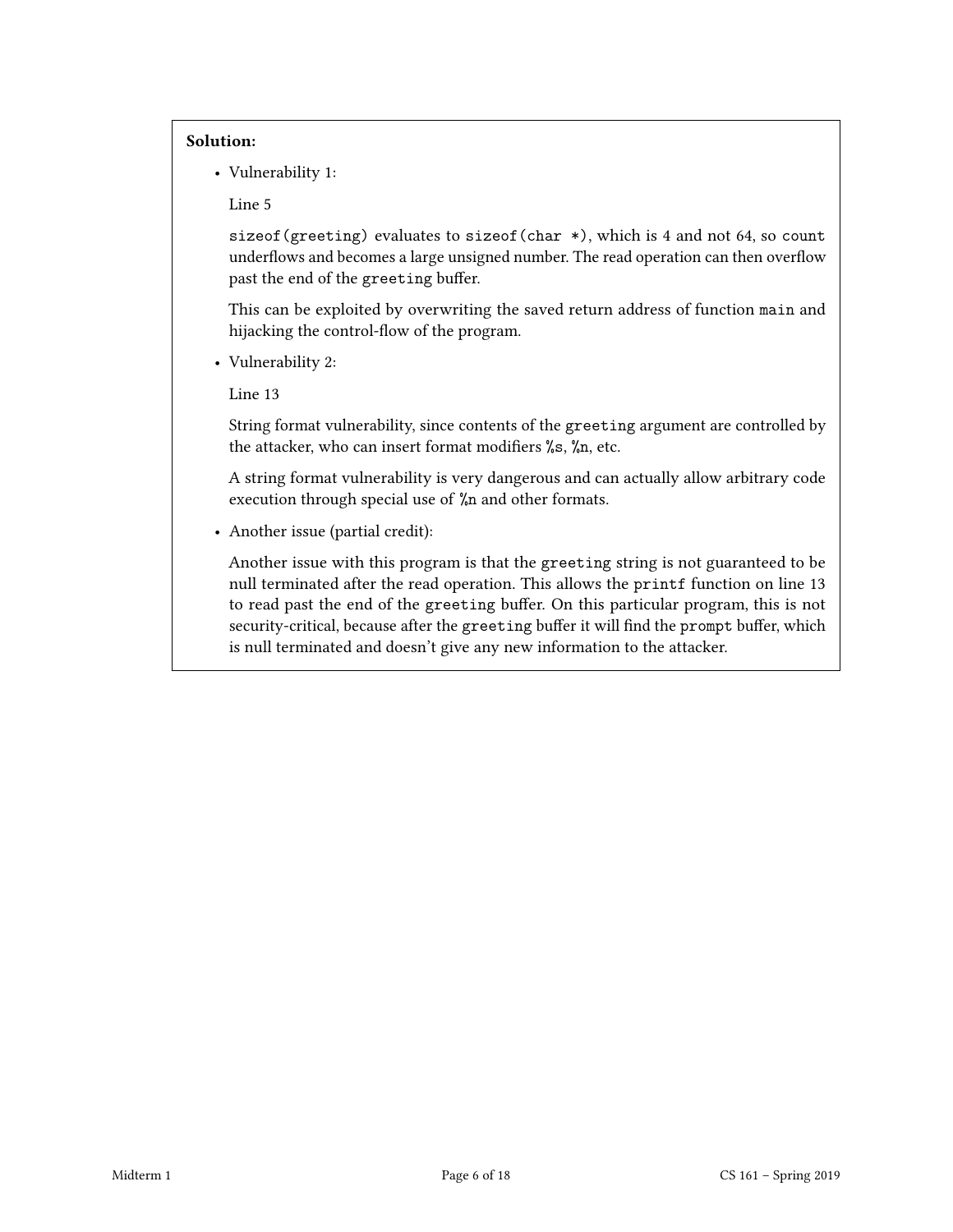#### Solution:

• Vulnerability 1:

Line 5

sizeof(greeting) evaluates to sizeof(char \*), which is 4 and not 64, so count underflows and becomes a large unsigned number. The read operation can then overflow past the end of the greeting buffer.

This can be exploited by overwriting the saved return address of function main and hijacking the control-flow of the program.

• Vulnerability 2:

Line 13

String format vulnerability, since contents of the greeting argument are controlled by the attacker, who can insert format modifiers  $\frac{6}{15}$ ,  $\frac{6}{10}$ , etc.

A string format vulnerability is very dangerous and can actually allow arbitrary code execution through special use of %n and other formats.

• Another issue (partial credit):

Another issue with this program is that the greeting string is not guaranteed to be null terminated after the read operation. This allows the printf function on line 13 to read past the end of the greeting buffer. On this particular program, this is not security-critical, because after the greeting buffer it will find the prompt buffer, which is null terminated and doesn't give any new information to the attacker.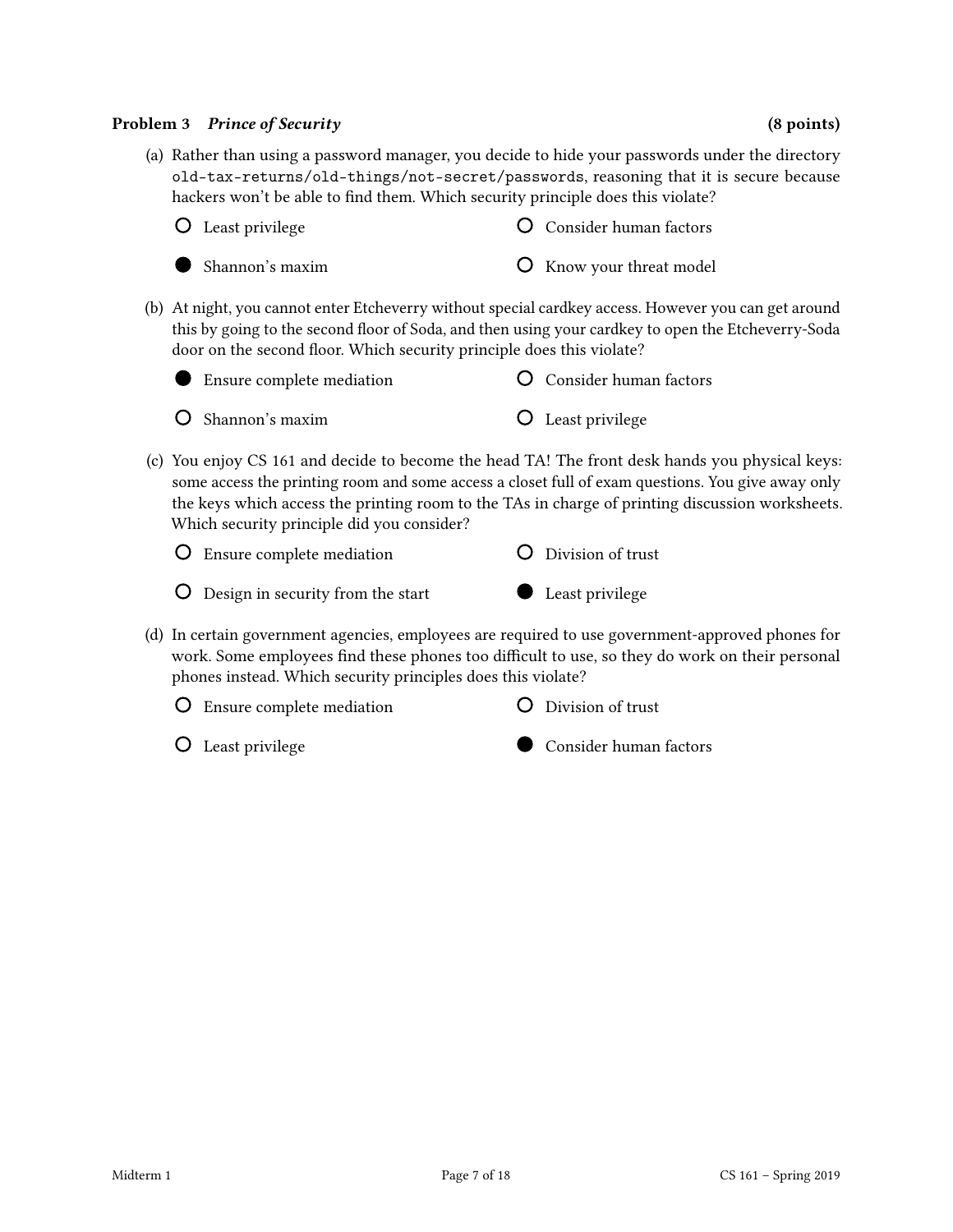#### Problem 3 Prince of Security (8 points) (8 points)

(a) Rather than using a password manager, you decide to hide your passwords under the directory old-tax-returns/old-things/not-secret/passwords, reasoning that it is secure because hackers won't be able to find them. Which security principle does this violate?

| O Least privilege         | <b>O</b> Consider human factors |
|---------------------------|---------------------------------|
| $\bullet$ Shannon's maxim | <b>O</b> Know your threat model |

(b) At night, you cannot enter Etcheverry without special cardkey access. However you can get around this by going to the second floor of Soda, and then using your cardkey to open the Etcheverry-Soda door on the second floor. Which security principle does this violate?

| • Ensure complete mediation    | O Consider human factors |
|--------------------------------|--------------------------|
| $\overline{O}$ Shannon's maxim | <b>O</b> Least privilege |

(c) You enjoy CS 161 and decide to become the head TA! The front desk hands you physical keys: some access the printing room and some access a closet full of exam questions. You give away only the keys which access the printing room to the TAs in charge of printing discussion worksheets. Which security principle did you consider?

| <b>O</b> Ensure complete mediation  | O Division of trust |
|-------------------------------------|---------------------|
| O Design in security from the start | Least privilege     |

- (d) In certain government agencies, employees are required to use government-approved phones for work. Some employees find these phones too difficult to use, so they do work on their personal phones instead. Which security principles does this violate?
	- Ensure complete mediation
- Division of trust

Least privilege

Consider human factors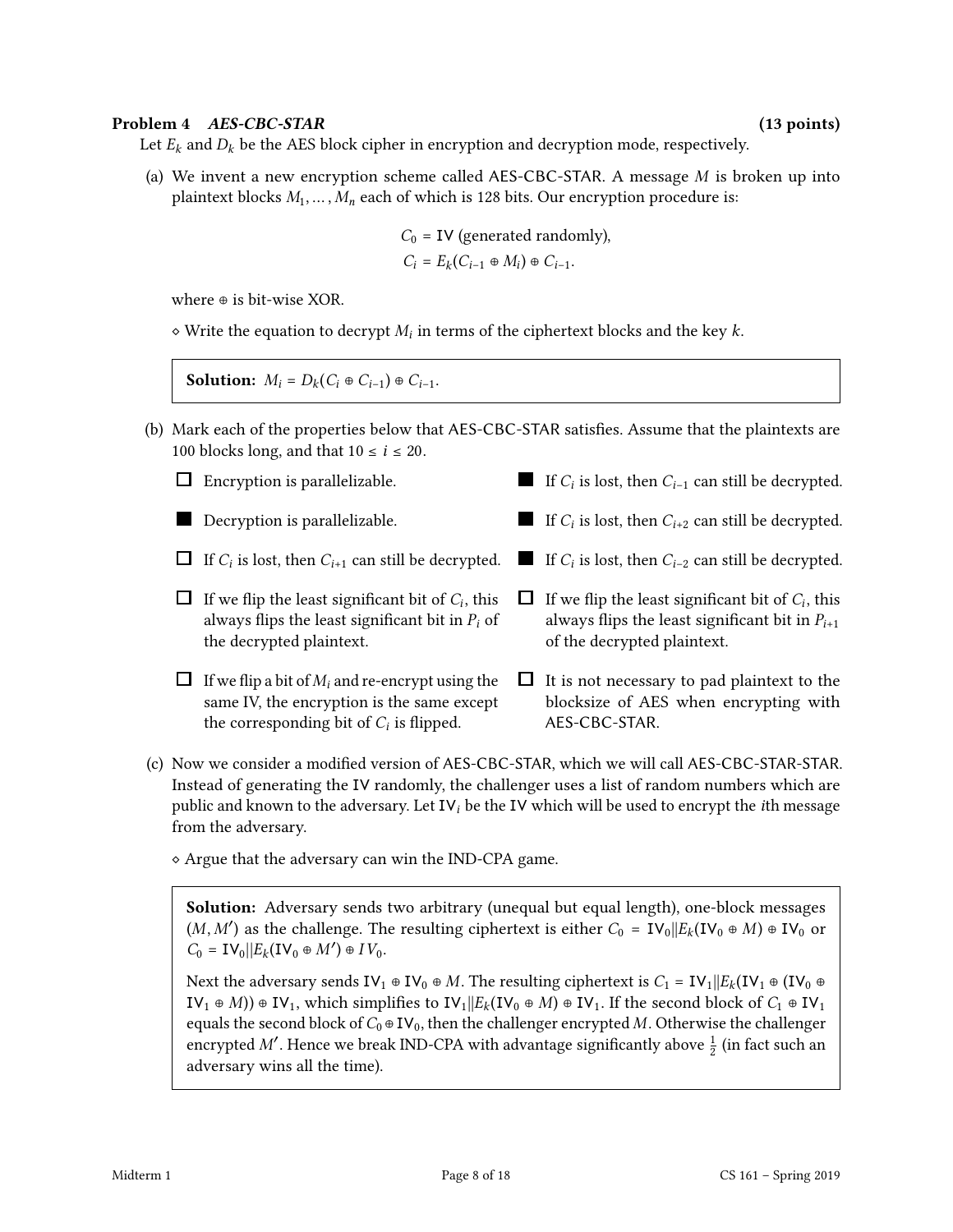#### Problem 4 AES-CBC-STAR (13 points)

Let  $E_k$  and  $D_k$  be the AES block cipher in encryption and decryption mode, respectively.

(a) We invent a new encryption scheme called AES-CBC-STAR. A message  $M$  is broken up into plaintext blocks  $M_1, \ldots, M_n$  each of which is 128 bits. Our encryption procedure is:

$$
C_0
$$
 = **IV** (generated randomly),

$$
C_i = E_k(C_{i-1} \oplus M_i) \oplus C_{i-1}.
$$

where ⊕ is bit-wise XOR.

 $\diamond$  Write the equation to decrypt  $M_i$  in terms of the ciphertext blocks and the key  $k$ .

**Solution:**  $M_i = D_k(C_i \oplus C_{i-1}) \oplus C_{i-1}.$ 

- (b) Mark each of the properties below that AES-CBC-STAR satisfies. Assume that the plaintexts are 100 blocks long, and that  $10 \le i \le 20$ .
	- $\Box$  Encryption is parallelizable. Decryption is parallelizable. If  $C_i$  is lost, then  $C_{i+1}$  can still be decrypted. ■ If  $C_i$  is lost, then  $C_{i-2}$  can still be decrypted. If we flip the least significant bit of  $C_i$ , this always flips the least significant bit in  $P_i$  of the decrypted plaintext.  $\Box$  If we flip a bit of  $M_i$  and re-encrypt using the same IV, the encryption is the same except the corresponding bit of  $C_i$  is flipped. If  $C_i$  is lost, then  $C_{i-1}$  can still be decrypted. If  $C_i$  is lost, then  $C_{i+2}$  can still be decrypted. If we flip the least significant bit of  $C_i$ , this always flips the least significant bit in  $P_{i+1}$ of the decrypted plaintext.  $\Box$  It is not necessary to pad plaintext to the blocksize of AES when encrypting with AES-CBC-STAR.
- (c) Now we consider a modified version of AES-CBC-STAR, which we will call AES-CBC-STAR-STAR. Instead of generating the IV randomly, the challenger uses a list of random numbers which are public and known to the adversary. Let  $IV_i$  be the IV which will be used to encrypt the *i*th message from the adversary.
	- ⋄ Argue that the adversary can win the IND-CPA game.

Solution: Adversary sends two arbitrary (unequal but equal length), one-block messages  $(M, M')$  as the challenge. The resulting ciphertext is either  $C_0 = IV_0 ||E_k(IV_0 \oplus M) \oplus IV_0$  or  $C_0 = \mathbf{IV}_0 || E_k(\mathbf{IV}_0 \oplus M') \oplus IV_0.$ 

Next the adversary sends IV<sub>1</sub> ⊕ IV<sub>0</sub> ⊕ *M*. The resulting ciphertext is  $C_1 = IV_1||E_k(IV_1 \oplus (IV_0 \oplus$ IV<sub>1</sub> ⊕ *M*)) ⊕ IV<sub>1</sub>, which simplifies to IV<sub>1</sub>| $E_k$ (IV<sub>0</sub> ⊕ *M*) ⊕ IV<sub>1</sub>. If the second block of  $C_1$  ⊕ IV<sub>1</sub> equals the second block of  $C_0 \oplus IV_0$ , then the challenger encrypted M. Otherwise the challenger encrypted M'. Hence we break IND-CPA with advantage significantly above  $\frac{1}{2}$  (in fact such an adversary wins all the time).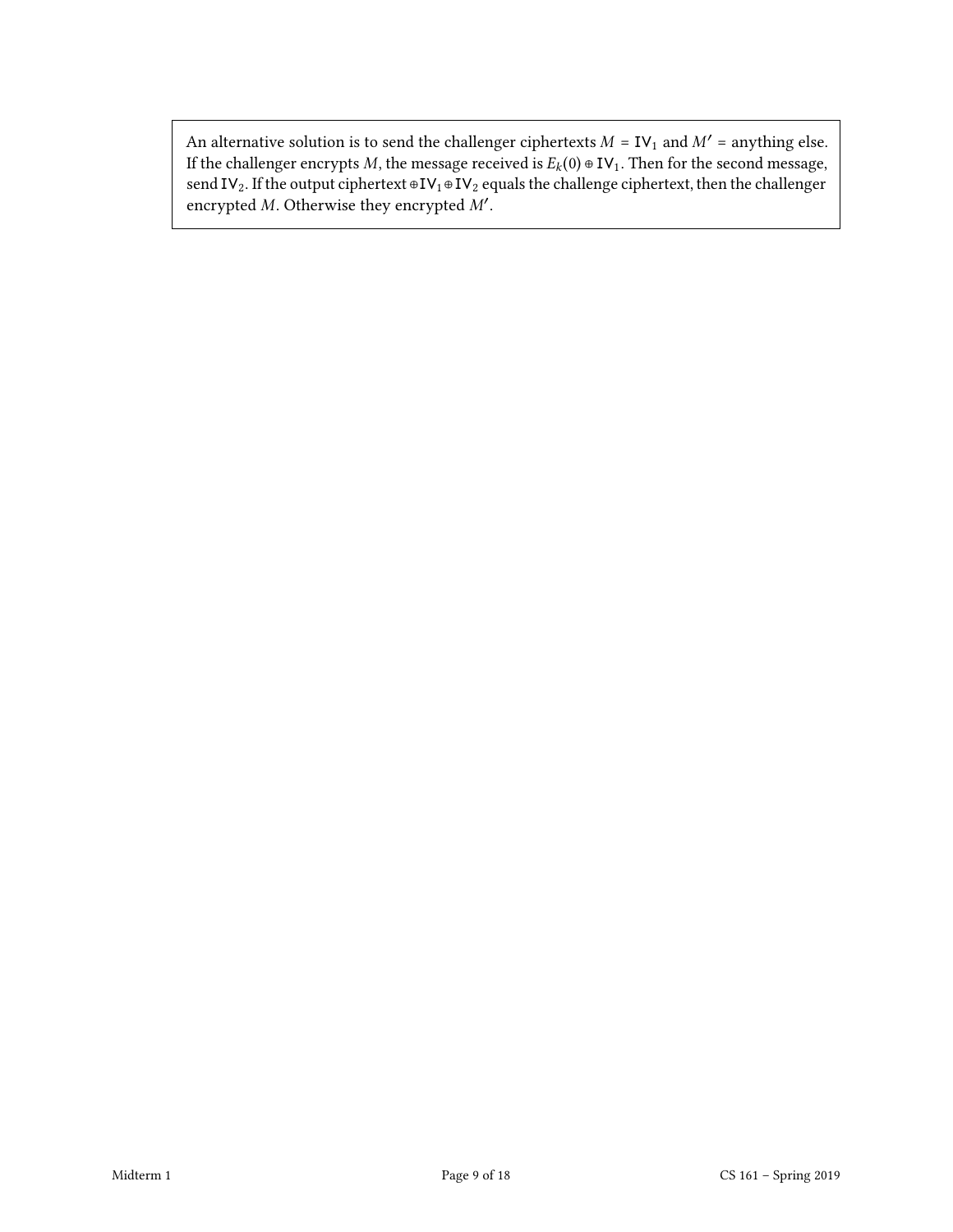An alternative solution is to send the challenger ciphertexts  $M = IV_1$  and  $M' =$  anything else. If the challenger encrypts  $M$ , the message received is  $E_k(0) \oplus IV_1$ . Then for the second message, send IV<sub>2</sub>. If the output ciphertext ⊕IV<sub>1</sub>⊕IV<sub>2</sub> equals the challenge ciphertext, then the challenger encrypted  $M$ . Otherwise they encrypted  $M'$ .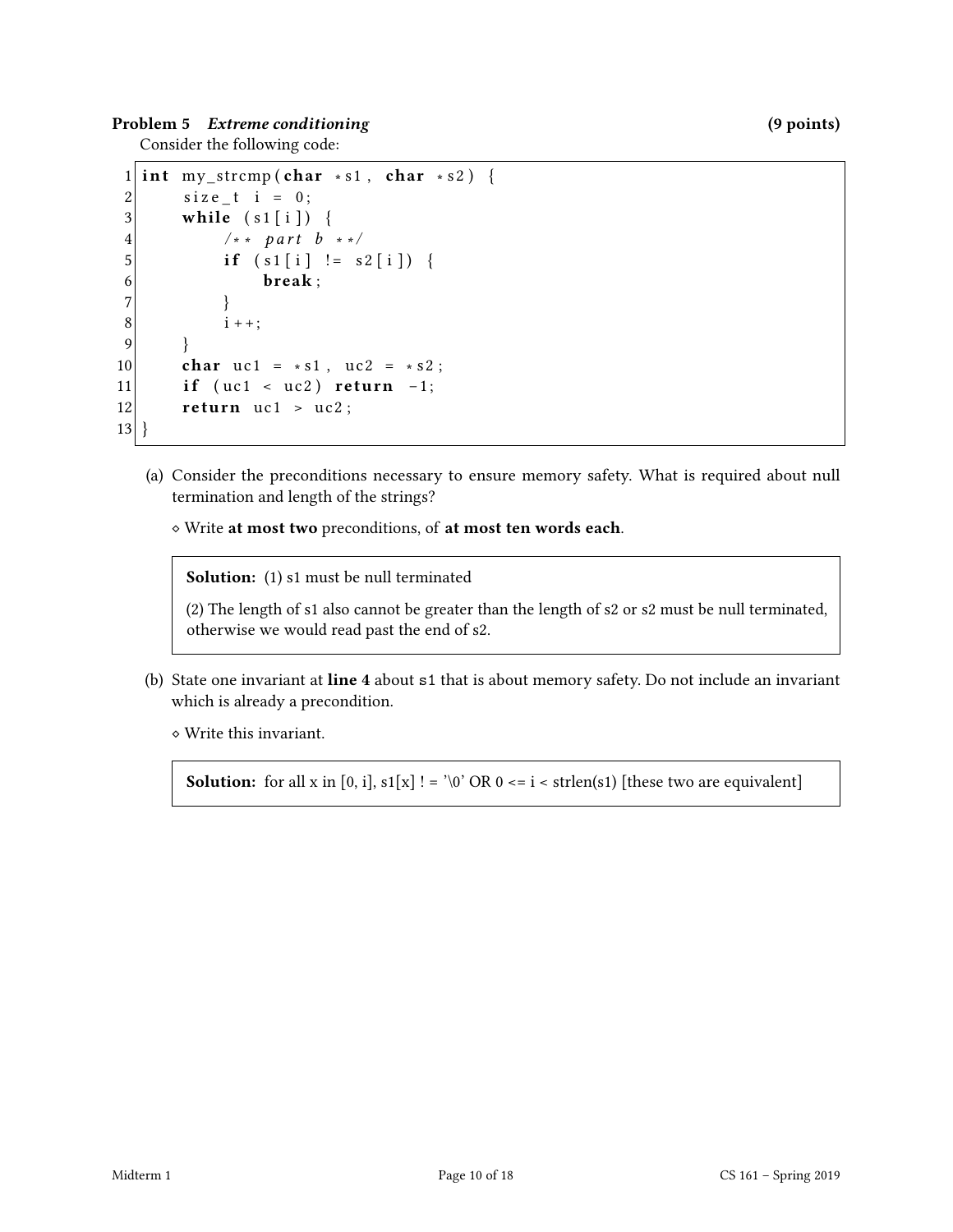Problem 5 Extreme conditioning the set of the set of the set of the set of the set of the set of the set of the set of the set of the set of the set of the set of the set of the set of the set of the set of the set of the

Consider the following code:

```
1 int my_strcmp (char * s1, char * s2) {
2 \vert size_t i = 0;
3 while (s1[i]) {
4 /* * part b * */5 if (s1[i] := s2[i]) {
6 break;
7 }
8 \t i++;9 }
10 char uc1 = * s1, uc2 = * s2;
11 if (uc1 < uc2) return -1;
12 return uc1 > uc2;
13 }
```
(a) Consider the preconditions necessary to ensure memory safety. What is required about null termination and length of the strings?

⋄ Write at most two preconditions, of at most ten words each.

Solution: (1) s1 must be null terminated

(2) The length of s1 also cannot be greater than the length of s2 or s2 must be null terminated, otherwise we would read past the end of s2.

(b) State one invariant at line 4 about s1 that is about memory safety. Do not include an invariant which is already a precondition.

⋄ Write this invariant.

**Solution:** for all x in [0, i],  $s1[x]$  ! = '\0' OR 0 <= i < strlen(s1) [these two are equivalent]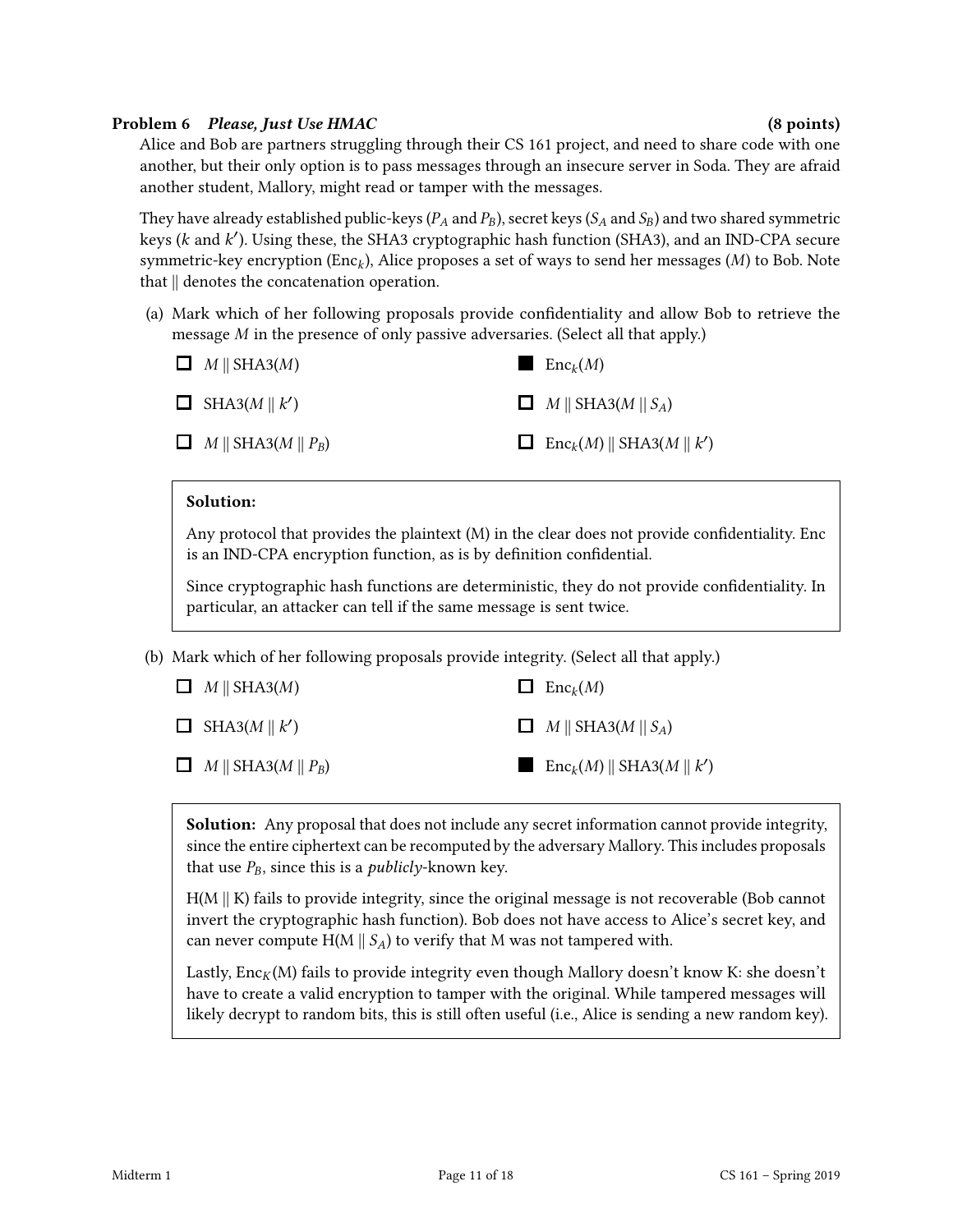## Problem 6 Please, Just Use HMAC (8 points) (8 points)

Alice and Bob are partners struggling through their CS 161 project, and need to share code with one another, but their only option is to pass messages through an insecure server in Soda. They are afraid another student, Mallory, might read or tamper with the messages.

They have already established public-keys ( $P_A$  and  $P_B$ ), secret keys ( $S_A$  and  $S_B$ ) and two shared symmetric keys (k and k'). Using these, the SHA3 cryptographic hash function (SHA3), and an IND-CPA secure symmetric-key encryption (Enc<sub>k</sub>), Alice proposes a set of ways to send her messages ( $M$ ) to Bob. Note that || denotes the concatenation operation.

(a) Mark which of her following proposals provide condentiality and allow Bob to retrieve the message  $M$  in the presence of only passive adversaries. (Select all that apply.)



## Solution:

Any protocol that provides the plaintext  $(M)$  in the clear does not provide confidentiality. Enc is an IND-CPA encryption function, as is by definition confidential.

Since cryptographic hash functions are deterministic, they do not provide condentiality. In particular, an attacker can tell if the same message is sent twice.

(b) Mark which of her following proposals provide integrity. (Select all that apply.)

| $\Box$ M    SHA3(M)           | $\Box$ Enc <sub>k</sub> $(M)$                            |
|-------------------------------|----------------------------------------------------------|
| $\Box$ SHA3(M    k')          | $\Box$ M    SHA3(M    S <sub>A</sub> )                   |
| $\Box$ M    SHA3(M    $P_B$ ) | $\Box$ Enc <sub>k</sub> $(M)$    SHA3 $(M \parallel k')$ |

**Solution:** Any proposal that does not include any secret information cannot provide integrity, since the entire ciphertext can be recomputed by the adversary Mallory. This includes proposals that use  $P_B$ , since this is a *publicly*-known key.

 $H(M \parallel K)$  fails to provide integrity, since the original message is not recoverable (Bob cannot invert the cryptographic hash function). Bob does not have access to Alice's secret key, and can never compute  $H(M \parallel S_A)$  to verify that M was not tampered with.

Lastly,  $Enc_K(M)$  fails to provide integrity even though Mallory doesn't know K: she doesn't have to create a valid encryption to tamper with the original. While tampered messages will likely decrypt to random bits, this is still often useful (i.e., Alice is sending a new random key).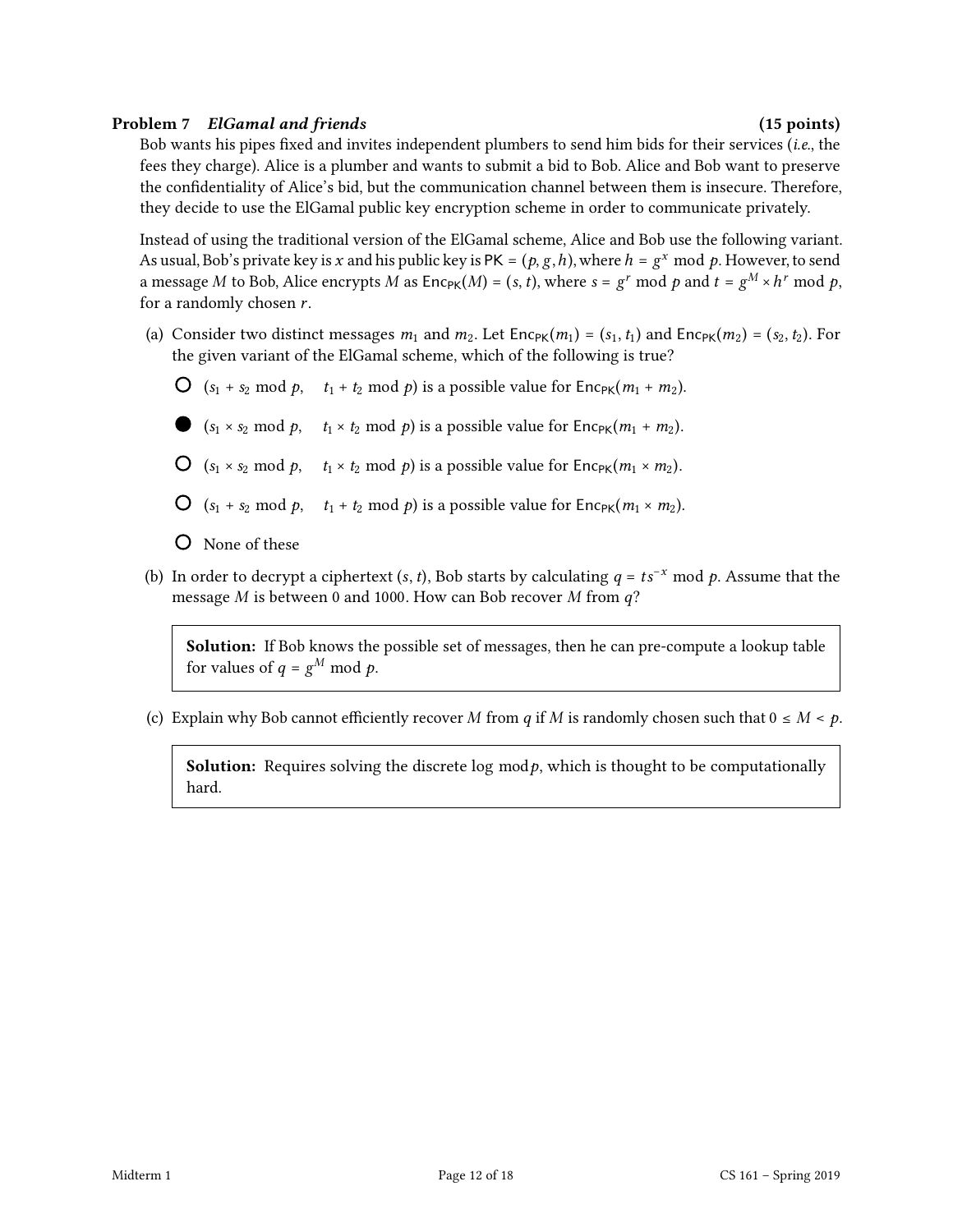## Problem 7 ElGamal and friends (15 points) (15 points)

Bob wants his pipes fixed and invites independent plumbers to send him bids for their services (i.e., the fees they charge). Alice is a plumber and wants to submit a bid to Bob. Alice and Bob want to preserve the confidentiality of Alice's bid, but the communication channel between them is insecure. Therefore, they decide to use the ElGamal public key encryption scheme in order to communicate privately.

Instead of using the traditional version of the ElGamal scheme, Alice and Bob use the following variant. As usual, Bob's private key is x and his public key is PK =  $(p, g, h)$ , where  $h = g^x \mod p$ . However, to send a message M to Bob, Alice encrypts M as  $\text{Enc}_{\text{PK}}(M) = (s, t)$ , where  $s = g^r \text{ mod } p$  and  $t = g^M \times h^r \text{ mod } p$ , for a randomly chosen  $r$ .

- (a) Consider two distinct messages  $m_1$  and  $m_2$ . Let Enc<sub>PK</sub> $(m_1) = (s_1, t_1)$  and Enc<sub>PK</sub> $(m_2) = (s_2, t_2)$ . For the given variant of the ElGamal scheme, which of the following is true?
	- $\bigcirc$  (s<sub>1</sub> + s<sub>2</sub> mod p, t<sub>1</sub> + t<sub>2</sub> mod p) is a possible value for Enc<sub>PK</sub>(m<sub>1</sub> + m<sub>2</sub>).
	- ( $s_1 \times s_2 \mod p$ ,  $t_1 \times t_2 \mod p$ ) is a possible value for  $Enc_{PK}(m_1 + m_2)$ .
	- $\bigcirc$   $(s_1 \times s_2 \mod p, \quad t_1 \times t_2 \mod p)$  is a possible value for  $Enc_{PK}(m_1 \times m_2)$ .
	- $\bigcirc$   $(s_1 + s_2 \mod p, \quad t_1 + t_2 \mod p)$  is a possible value for  $Enc_{PK}(m_1 \times m_2)$ .
	- None of these
- (b) In order to decrypt a ciphertext  $(s, t)$ , Bob starts by calculating  $q = ts^{-x} \mod p$ . Assume that the message  $M$  is between 0 and 1000. How can Bob recover  $M$  from  $q$ ?

Solution: If Bob knows the possible set of messages, then he can pre-compute a lookup table for values of  $q = g^M \bmod p$ .

(c) Explain why Bob cannot efficiently recover M from q if M is randomly chosen such that  $0 \le M < p$ .

**Solution:** Requires solving the discrete log mod $p$ , which is thought to be computationally hard.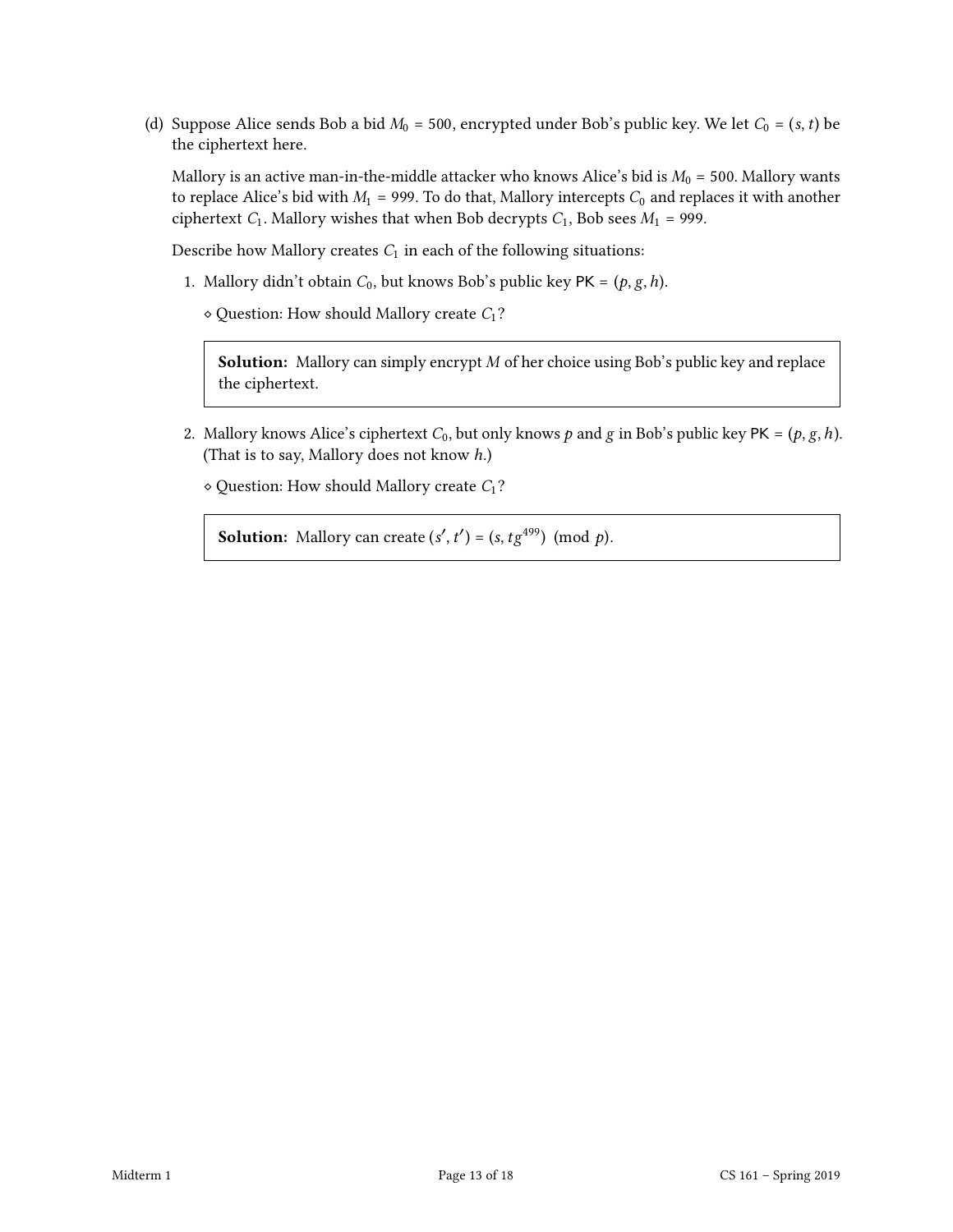(d) Suppose Alice sends Bob a bid  $M_0$  = 500, encrypted under Bob's public key. We let  $C_0 = (s, t)$  be the ciphertext here.

Mallory is an active man-in-the-middle attacker who knows Alice's bid is  $M_0 = 500$ . Mallory wants to replace Alice's bid with  $M_1$  = 999. To do that, Mallory intercepts  $C_0$  and replaces it with another ciphertext  $C_1$ . Mallory wishes that when Bob decrypts  $C_1$ , Bob sees  $M_1$  = 999.

Describe how Mallory creates  $C_1$  in each of the following situations:

- 1. Mallory didn't obtain  $C_0$ , but knows Bob's public key PK =  $(p, g, h)$ .
	- $\diamond$  Question: How should Mallory create  $C_1$ ?

**Solution:** Mallory can simply encrypt  $M$  of her choice using Bob's public key and replace the ciphertext.

- 2. Mallory knows Alice's ciphertext  $C_0$ , but only knows  $p$  and  $g$  in Bob's public key PK =  $(p, g, h)$ . (That is to say, Mallory does not know ℎ.)
	- $\diamond$  Question: How should Mallory create  $C_1$ ?

**Solution:** Mallory can create  $(s', t') = (s, t g^{499}) \pmod{p}$ .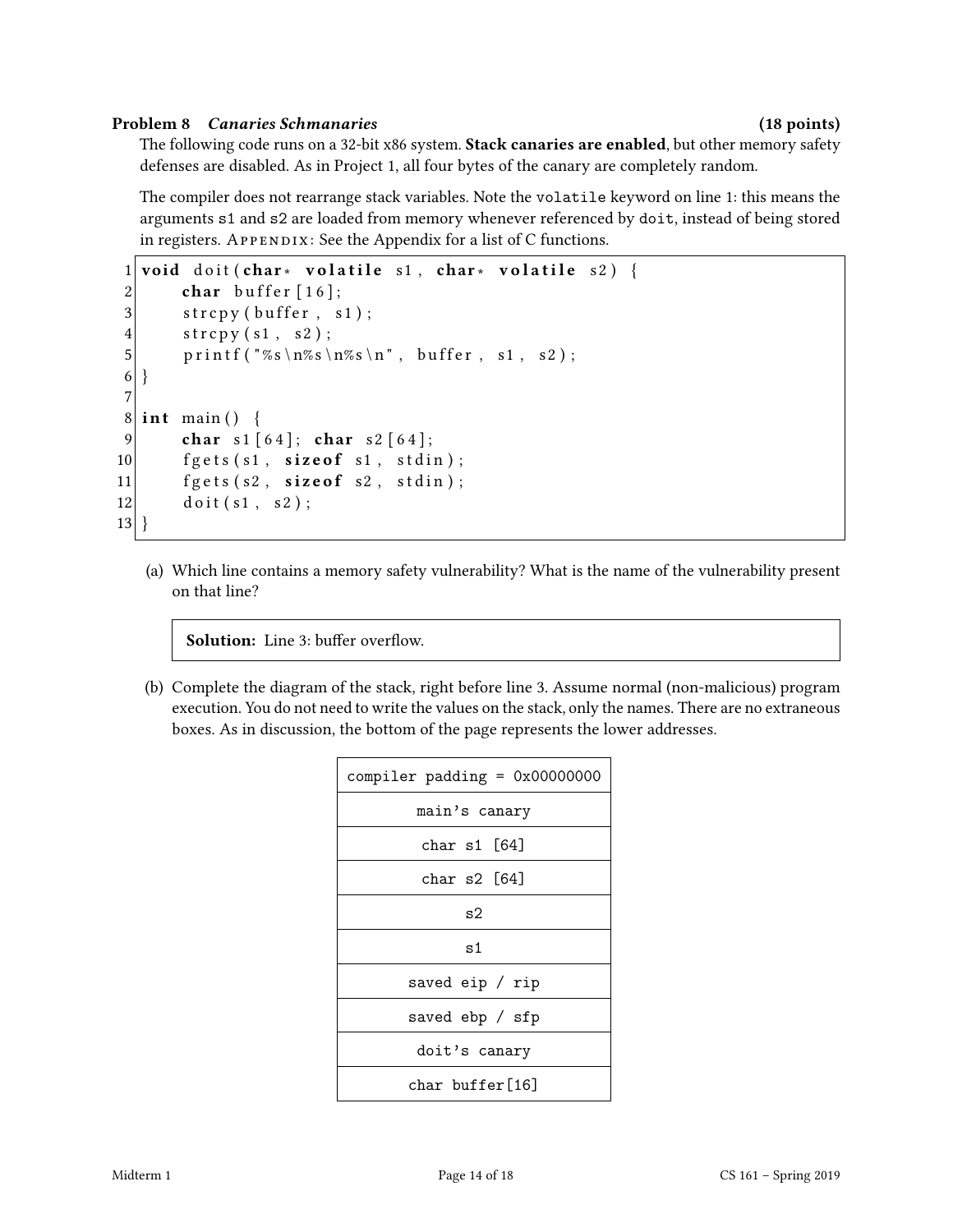#### Problem 8 Canaries Schmanaries (18 points)

The following code runs on a 32-bit x86 system. Stack canaries are enabled, but other memory safety defenses are disabled. As in Project 1, all four bytes of the canary are completely random.

The compiler does not rearrange stack variables. Note the volatile keyword on line 1: this means the arguments s1 and s2 are loaded from memory whenever referenced by doit, instead of being stored in registers.  $APPENDIX: See the Appendix for a list of C functions.$ 

```
1 void doit (char * volatile s1, char * volatile s2) {
2 char buffer [16];
3 strcpy (buffer, s1);
4 \quad \text{strong (s1, s2)};
5 printf ("%s\n%s\n%s\n", buffer, s1, s2);
6 }
7
8 \mid \text{int } \text{main}() \mid9 char s1 [64]; char s2 [64];
10 fgets (s1, size of s1, stdin);
11 \left| \right| fgets (s2, size of s2, stdin);
12 doit (s1, s2);
13 }
```
(a) Which line contains a memory safety vulnerability? What is the name of the vulnerability present on that line?

Solution: Line 3: buffer overflow.

(b) Complete the diagram of the stack, right before line 3. Assume normal (non-malicious) program execution. You do not need to write the values on the stack, only the names. There are no extraneous boxes. As in discussion, the bottom of the page represents the lower addresses.

| compiler padding = $0x00000000$ |  |  |
|---------------------------------|--|--|
| main's canary                   |  |  |
| char s1 [64]                    |  |  |
| char s $2[64]$                  |  |  |
| s2                              |  |  |
| s1                              |  |  |
| saved eip / rip                 |  |  |
| saved ebp / sfp                 |  |  |
| doit's canary                   |  |  |
| char buffer[16]                 |  |  |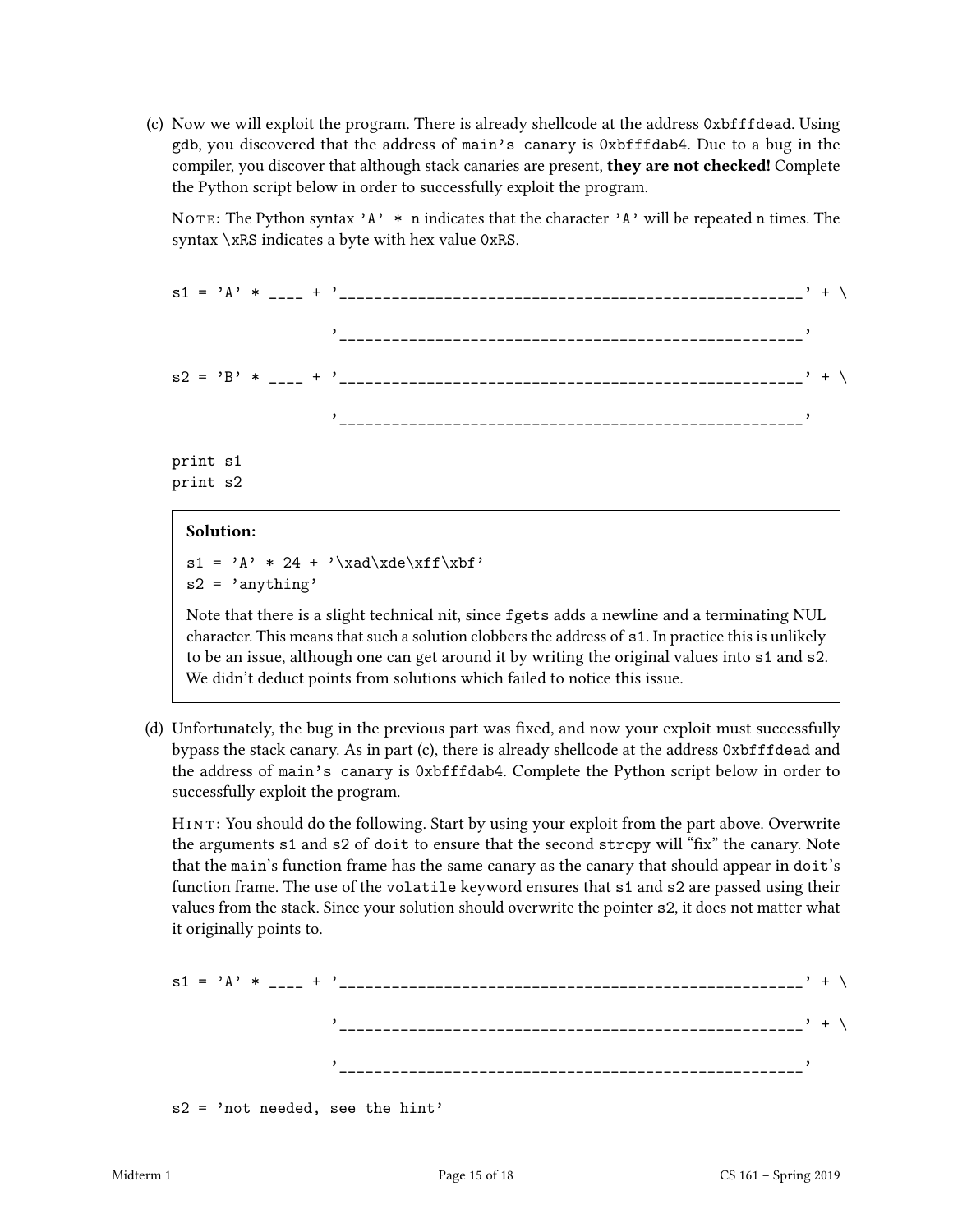(c) Now we will exploit the program. There is already shellcode at the address 0xbfffdead. Using gdb, you discovered that the address of main's canary is 0xbfffdab4. Due to a bug in the compiler, you discover that although stack canaries are present, they are not checked! Complete the Python script below in order to successfully exploit the program.

NOTE: The Python syntax 'A'  $*$  n indicates that the character 'A' will be repeated n times. The syntax \xRS indicates a byte with hex value 0xRS.

s1 = 'A' \* \_\_\_\_ + '\_\_\_\_\_\_\_\_\_\_\_\_\_\_\_\_\_\_\_\_\_\_\_\_\_\_\_\_\_\_\_\_\_\_\_\_\_\_\_\_\_\_\_\_\_\_\_\_\_\_\_\_\_' + \ '\_\_\_\_\_\_\_\_\_\_\_\_\_\_\_\_\_\_\_\_\_\_\_\_\_\_\_\_\_\_\_\_\_\_\_\_\_\_\_\_\_\_\_\_\_\_\_\_\_\_\_\_\_'  $s2 = 'B' * \frac{}{}$ '\_\_\_\_\_\_\_\_\_\_\_\_\_\_\_\_\_\_\_\_\_\_\_\_\_\_\_\_\_\_\_\_\_\_\_\_\_\_\_\_\_\_\_\_\_\_\_\_\_\_\_\_\_'

print s1 print s2

## Solution:

 $s1 = 'A' * 24 + ' \xad\xde\xf\xbf'$  $s2 = 'anything'$ 

Note that there is a slight technical nit, since fgets adds a newline and a terminating NUL character. This means that such a solution clobbers the address of s1. In practice this is unlikely to be an issue, although one can get around it by writing the original values into s1 and s2. We didn't deduct points from solutions which failed to notice this issue.

(d) Unfortunately, the bug in the previous part was fixed, and now your exploit must successfully bypass the stack canary. As in part (c), there is already shellcode at the address 0xbfffdead and the address of main's canary is 0xbfffdab4. Complete the Python script below in order to successfully exploit the program.

HINT: You should do the following. Start by using your exploit from the part above. Overwrite the arguments  $s1$  and  $s2$  of doit to ensure that the second stropy will "fix" the canary. Note that the main's function frame has the same canary as the canary that should appear in doit's function frame. The use of the volatile keyword ensures that s1 and s2 are passed using their values from the stack. Since your solution should overwrite the pointer s2, it does not matter what it originally points to.

s1 = 'A' \* \_\_\_\_ + '\_\_\_\_\_\_\_\_\_\_\_\_\_\_\_\_\_\_\_\_\_\_\_\_\_\_\_\_\_\_\_\_\_\_\_\_\_\_\_\_\_\_\_\_\_\_\_\_\_\_\_\_\_' + \ '\_\_\_\_\_\_\_\_\_\_\_\_\_\_\_\_\_\_\_\_\_\_\_\_\_\_\_\_\_\_\_\_\_\_\_\_\_\_\_\_\_\_\_\_\_\_\_\_\_\_\_\_\_' + \ '\_\_\_\_\_\_\_\_\_\_\_\_\_\_\_\_\_\_\_\_\_\_\_\_\_\_\_\_\_\_\_\_\_\_\_\_\_\_\_\_\_\_\_\_\_\_\_\_\_\_\_\_\_'

s2 = 'not needed, see the hint'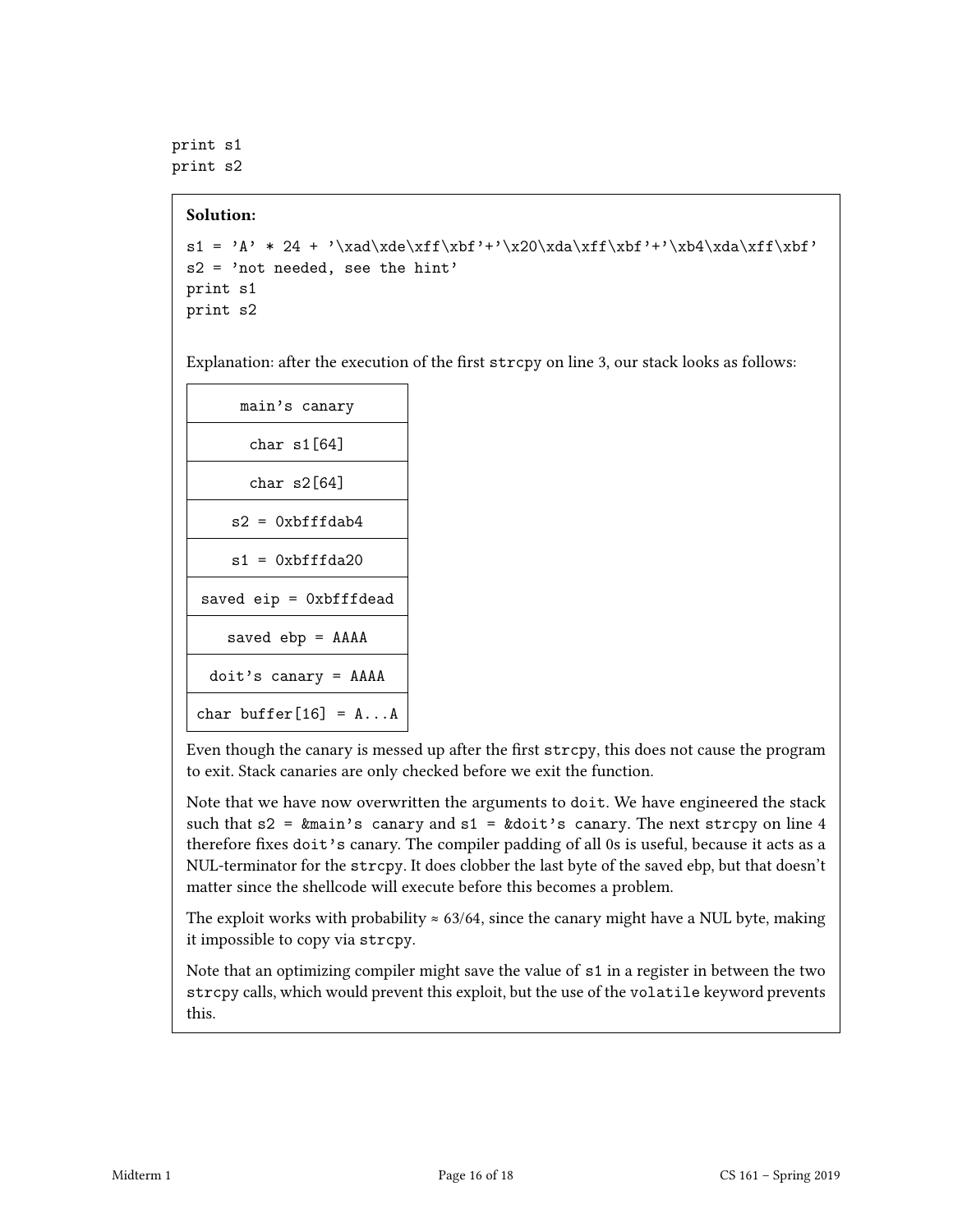print s1 print s2

#### Solution:

```
s1 = 'A' * 24 + ' \xad\xde\xf\xbf''+'\x20\xda\xff\xbf''+'\xbd\xdf\xbf's2 = 'not needed, see the hint'
print s1
print s2
```
Explanation: after the execution of the first strcpy on line 3, our stack looks as follows:

| main's canary                        |  |  |
|--------------------------------------|--|--|
| char s1[64]                          |  |  |
| char s2[64]                          |  |  |
| $s2 = 0xbfffdab4$                    |  |  |
| $s1 = 0x$ bfffda $20$                |  |  |
| saved $eip = 0xbff$ dead             |  |  |
| saved $ebp = AAAA$                   |  |  |
| $\text{doit's canary} = \text{AAAA}$ |  |  |
| char buffer $[16] = A \dots A$       |  |  |

Even though the canary is messed up after the first strcpy, this does not cause the program to exit. Stack canaries are only checked before we exit the function.

Note that we have now overwritten the arguments to doit. We have engineered the stack such that  $s2 = \text{kmain's } \text{canary and } s1 = \text{kdoit's } \text{canary.}$  The next strcpy on line 4 therefore fixes doit's canary. The compiler padding of all 0s is useful, because it acts as a NUL-terminator for the strcpy. It does clobber the last byte of the saved ebp, but that doesn't matter since the shellcode will execute before this becomes a problem.

The exploit works with probability  $\approx 63/64$ , since the canary might have a NUL byte, making it impossible to copy via strcpy.

Note that an optimizing compiler might save the value of s1 in a register in between the two strcpy calls, which would prevent this exploit, but the use of the volatile keyword prevents this.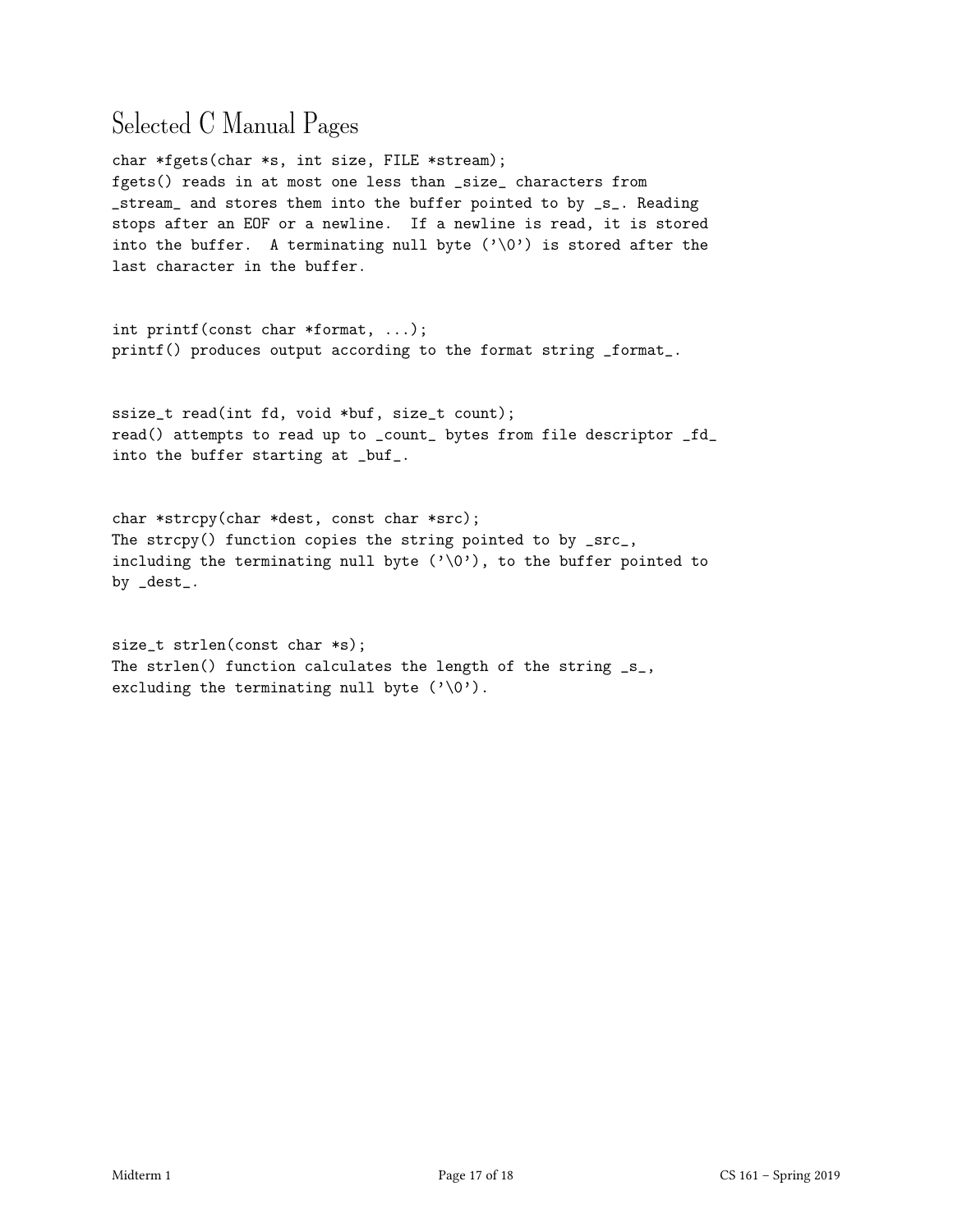## Selected C Manual Pages

char \*fgets(char \*s, int size, FILE \*stream); fgets() reads in at most one less than \_size\_ characters from \_stream\_ and stores them into the buffer pointed to by \_s\_. Reading stops after an EOF or a newline. If a newline is read, it is stored into the buffer. A terminating null byte  $(\cdot \setminus 0')$  is stored after the last character in the buffer.

int printf(const char \*format, ...); printf() produces output according to the format string \_format\_.

ssize\_t read(int fd, void \*buf, size\_t count); read() attempts to read up to \_count\_ bytes from file descriptor \_fd\_ into the buffer starting at \_buf\_.

char \*strcpy(char \*dest, const char \*src); The strcpy() function copies the string pointed to by \_src\_, including the terminating null byte  $(\cdot \setminus 0')$ , to the buffer pointed to by \_dest\_.

size\_t strlen(const char \*s); The strlen() function calculates the length of the string \_s\_, excluding the terminating null byte  $(\prime \backslash 0')$ .